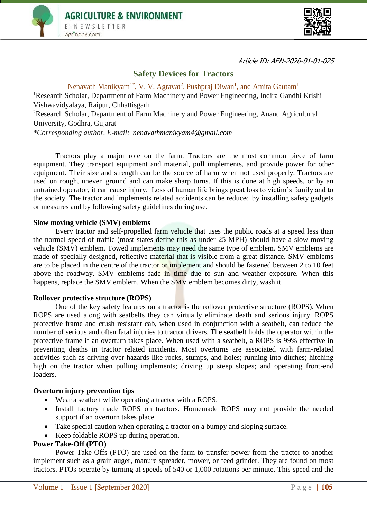



Article ID: AEN-2020-01-01-025

# **Safety Devices for Tractors**

Nenavath Manikyam<sup>1\*</sup>, V. V. Agravat<sup>2</sup>, Pushpraj Diwan<sup>1</sup>, and Amita Gautam<sup>1</sup> <sup>1</sup>Research Scholar, Department of Farm Machinery and Power Engineering, Indira Gandhi Krishi Vishwavidyalaya, Raipur, Chhattisgarh <sup>2</sup>Research Scholar, Department of Farm Machinery and Power Engineering, Anand Agricultural University, Godhra, Gujarat

*\*Corresponding author. E-mail: [nenavathmanikyam4@gmail.com](mailto:nehadogra-coadfl@pau.edu)* 

Tractors play a major role on the farm. Tractors are the most common piece of farm equipment. They transport equipment and material, pull implements, and provide power for other equipment. Their size and strength can be the source of harm when not used properly. Tractors are used on rough, uneven ground and can make sharp turns. If this is done at high speeds, or by an untrained operator, it can cause injury. Loss of human life brings great loss to victim's family and to the society. The tractor and implements related accidents can be reduced by installing safety gadgets or measures and by following safety guidelines during use.

### **Slow moving vehicle (SMV) emblems**

Every tractor and self-propelled farm vehicle that uses the public roads at a speed less than the normal speed of traffic (most states define this as under 25 MPH) should have a slow moving vehicle (SMV) emblem. Towed implements may need the same type of emblem. SMV emblems are made of specially designed, reflective material that is visible from a great distance. SMV emblems are to be placed in the centre of the tractor or implement and should be fastened between 2 to 10 feet above the roadway. SMV emblems fade in time due to sun and weather exposure. When this happens, replace the SMV emblem. When the SMV emblem becomes dirty, wash it.

### **Rollover protective structure (ROPS)**

One of the key safety features on a tractor is the rollover protective structure (ROPS). When ROPS are used along with seatbelts they can virtually eliminate death and serious injury. ROPS protective frame and crush resistant cab, when used in conjunction with a seatbelt, can reduce the number of serious and often fatal injuries to tractor drivers. The seatbelt holds the operator within the protective frame if an overturn takes place. When used with a seatbelt, a ROPS is 99% effective in preventing deaths in tractor related incidents. Most overturns are associated with farm-related activities such as driving over hazards like rocks, stumps, and holes; running into ditches; hitching high on the tractor when pulling implements; driving up steep slopes; and operating front-end loaders.

#### **Overturn injury prevention tips**

- Wear a seatbelt while operating a tractor with a ROPS.
- Install factory made ROPS on tractors. Homemade ROPS may not provide the needed support if an overturn takes place.
- Take special caution when operating a tractor on a bumpy and sloping surface.
- Keep foldable ROPS up during operation.

### **Power Take-Off (PTO)**

Power Take-Offs (PTO) are used on the farm to transfer power from the tractor to another implement such as a grain auger, manure spreader, mower, or feed grinder. They are found on most tractors. PTOs operate by turning at speeds of 540 or 1,000 rotations per minute. This speed and the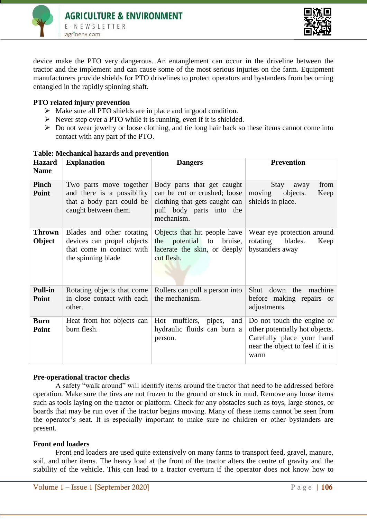



device make the PTO very dangerous. An entanglement can occur in the driveline between the tractor and the implement and can cause some of the most serious injuries on the farm. Equipment manufacturers provide shields for PTO drivelines to protect operators and bystanders from becoming entangled in the rapidly spinning shaft.

## **PTO related injury prevention**

- $\triangleright$  Make sure all PTO shields are in place and in good condition.
- $\triangleright$  Never step over a PTO while it is running, even if it is shielded.
- $\triangleright$  Do not wear jewelry or loose clothing, and tie long hair back so these items cannot come into contact with any part of the PTO.

| <b>Hazard</b>           | <b>Explanation</b>                                                                                         | <b>Dangers</b>                                                                                                                        | <b>Prevention</b>                                                                                                                     |
|-------------------------|------------------------------------------------------------------------------------------------------------|---------------------------------------------------------------------------------------------------------------------------------------|---------------------------------------------------------------------------------------------------------------------------------------|
| <b>Name</b>             |                                                                                                            |                                                                                                                                       |                                                                                                                                       |
| <b>Pinch</b><br>Point   | Two parts move together<br>and there is a possibility<br>that a body part could be<br>caught between them. | Body parts that get caught<br>can be cut or crushed; loose<br>clothing that gets caught can<br>pull body parts into the<br>mechanism. | Stay<br>from<br>away<br>moving<br>Keep<br>objects.<br>shields in place.                                                               |
| <b>Thrown</b><br>Object | Blades and other rotating<br>devices can propel objects<br>that come in contact with<br>the spinning blade | Objects that hit people have<br>potential to<br>bruise,<br>the<br>lacerate the skin, or deeply<br>cut flesh.                          | Wear eye protection around<br>rotating<br>blades.<br>Keep<br>bystanders away                                                          |
| <b>Pull-in</b><br>Point | Rotating objects that come<br>in close contact with each<br>other.                                         | Rollers can pull a person into<br>the mechanism.                                                                                      | Shut down the machine<br>before making repairs or<br>adjustments.                                                                     |
| <b>Burn</b><br>Point    | Heat from hot objects can<br>burn flesh.                                                                   | Hot mufflers, pipes,<br>and<br>hydraulic fluids can burn a<br>person.                                                                 | Do not touch the engine or<br>other potentially hot objects.<br>Carefully place your hand<br>near the object to feel if it is<br>warm |

### **Table: Mechanical hazards and prevention**

### **Pre-operational tractor checks**

A safety "walk around" will identify items around the tractor that need to be addressed before operation. Make sure the tires are not frozen to the ground or stuck in mud. Remove any loose items such as tools laying on the tractor or platform. Check for any obstacles such as toys, large stones, or boards that may be run over if the tractor begins moving. Many of these items cannot be seen from the operator's seat. It is especially important to make sure no children or other bystanders are present.

### **Front end loaders**

Front end loaders are used quite extensively on many farms to transport feed, gravel, manure, soil, and other items. The heavy load at the front of the tractor alters the centre of gravity and the stability of the vehicle. This can lead to a tractor overturn if the operator does not know how to